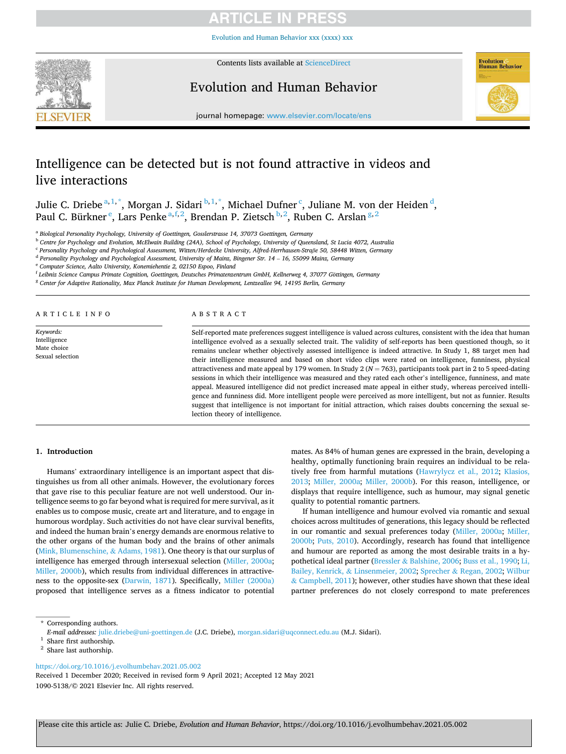Evolution and Human [Be](https://doi.org/10.1016/j.evolhumbehav.2021.05.002)havior xxx (xxxx) xxx



Contents lists available at [ScienceDirect](www.sciencedirect.com/science/journal/10905138)

# Evolution and Human Behavior



journal homepage: [www.elsevier.com/locate/ens](https://www.elsevier.com/locate/ens) 

# Intelligence can be detected but is not found attractive in videos and live interactions

Julie C. Driebe $a^{1,1,*}$ , Morgan J. Sidari $b^{1,1,*}$ , Michael Dufner<sup>c</sup>, Juliane M. von der Heiden $d$ , Paul C. Bürkner<sup>e</sup>, Lars Penke<sup>a,f,2</sup>, Brendan P. Zietsch<sup>b,2</sup>, Ruben C. Arslan<sup>g,2</sup>

a *Biological Personality Psychology, University of Goettingen, Gosslerstrasse 14, 37073 Goettingen, Germany* 

<sup>b</sup> *Centre for Psychology and Evolution, McElwain Building (24A), School of Psychology, University of Queensland, St Lucia 4072, Australia* 

c *Personality Psychology and Psychological Assessment, Witten/Herdecke University, Alfred-Herrhausen-Straße 50, 58448 Witten, Germany* 

d *Personality Psychology and Psychological Assessment, University of Mainz, Bingener Str. 14* – *16, 55099 Mainz, Germany* 

<sup>e</sup> *Computer Science, Aalto University, Konemiehentie 2, 02150 Espoo, Finland* 

<sup>f</sup> Leibniz Science Campus Primate Cognition, Goettingen, Deutsches Primatenzentrum GmbH, Kellnerweg 4, 37077 Göttingen, Germany

<sup>g</sup> *Center for Adaptive Rationality, Max Planck Institute for Human Development, Lentzeallee 94, 14195 Berlin, Germany* 

A R T I C L E I N F O

*Keywords:*  Intelligence Mate choice Sexual selection

# ABSTRACT

Self-reported mate preferences suggest intelligence is valued across cultures, consistent with the idea that human intelligence evolved as a sexually selected trait. The validity of self-reports has been questioned though, so it remains unclear whether objectively assessed intelligence is indeed attractive. In Study 1, 88 target men had their intelligence measured and based on short video clips were rated on intelligence, funniness, physical attractiveness and mate appeal by 179 women. In Study 2 (*N* = 763), participants took part in 2 to 5 speed-dating sessions in which their intelligence was measured and they rated each other's intelligence, funniness, and mate appeal. Measured intelligence did not predict increased mate appeal in either study, whereas perceived intelligence and funniness did. More intelligent people were perceived as more intelligent, but not as funnier. Results suggest that intelligence is not important for initial attraction, which raises doubts concerning the sexual selection theory of intelligence.

#### **1. Introduction**

Humans' extraordinary intelligence is an important aspect that distinguishes us from all other animals. However, the evolutionary forces that gave rise to this peculiar feature are not well understood. Our intelligence seems to go far beyond what is required for mere survival, as it enables us to compose music, create art and literature, and to engage in humorous wordplay. Such activities do not have clear survival benefits, and indeed the human brain's energy demands are enormous relative to the other organs of the human body and the brains of other animals ([Mink, Blumenschine,](#page-9-0) & Adams, 1981). One theory is that our surplus of intelligence has emerged through intersexual selection [\(Miller, 2000a](#page-9-0); [Miller, 2000b](#page-9-0)), which results from individual differences in attractiveness to the opposite-sex [\(Darwin, 1871\)](#page-8-0). Specifically, [Miller \(2000a\)](#page-9-0)  proposed that intelligence serves as a fitness indicator to potential

mates. As 84% of human genes are expressed in the brain, developing a healthy, optimally functioning brain requires an individual to be relatively free from harmful mutations [\(Hawrylycz et al., 2012;](#page-8-0) [Klasios,](#page-8-0)  [2013;](#page-8-0) [Miller, 2000a](#page-9-0); [Miller, 2000b](#page-9-0)). For this reason, intelligence, or displays that require intelligence, such as humour, may signal genetic quality to potential romantic partners.

If human intelligence and humour evolved via romantic and sexual choices across multitudes of generations, this legacy should be reflected in our romantic and sexual preferences today ([Miller, 2000a;](#page-9-0) [Miller,](#page-9-0)  [2000b;](#page-9-0) [Puts, 2010\)](#page-9-0). Accordingly, research has found that intelligence and humour are reported as among the most desirable traits in a hypothetical ideal partner (Bressler & [Balshine, 2006](#page-8-0); [Buss et al., 1990;](#page-8-0) [Li,](#page-9-0)  Bailey, Kenrick, & [Linsenmeier, 2002](#page-9-0); Sprecher & [Regan, 2002; Wilbur](#page-9-0)  & [Campbell, 2011\)](#page-9-0); however, other studies have shown that these ideal partner preferences do not closely correspond to mate preferences

<https://doi.org/10.1016/j.evolhumbehav.2021.05.002>

1090-5138/© 2021 Elsevier Inc. All rights reserved. Received 1 December 2020; Received in revised form 9 April 2021; Accepted 12 May 2021

<sup>\*</sup> Corresponding authors.

*E-mail addresses:* [julie.driebe@uni-goettingen.de](mailto:julie.driebe@uni-goettingen.de) (J.C. Driebe), [morgan.sidari@uqconnect.edu.au](mailto:morgan.sidari@uqconnect.edu.au) (M.J. Sidari).

 $1$  Share first authorship.

<sup>&</sup>lt;sup>2</sup> Share last authorship.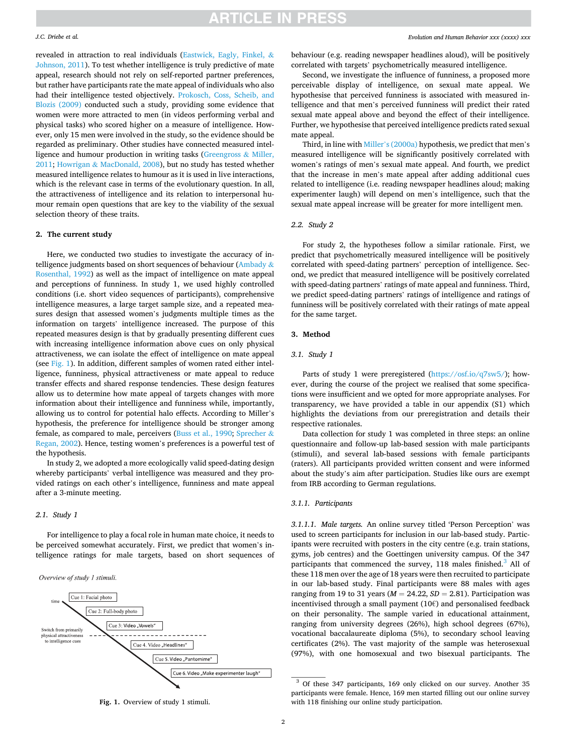### <span id="page-1-0"></span>*J.C. Driebe et al.*

revealed in attraction to real individuals ([Eastwick, Eagly, Finkel,](#page-8-0) & [Johnson, 2011](#page-8-0)). To test whether intelligence is truly predictive of mate appeal, research should not rely on self-reported partner preferences, but rather have participants rate the mate appeal of individuals who also had their intelligence tested objectively. [Prokosch, Coss, Scheib, and](#page-9-0)  [Blozis \(2009\)](#page-9-0) conducted such a study, providing some evidence that women were more attracted to men (in videos performing verbal and physical tasks) who scored higher on a measure of intelligence. However, only 15 men were involved in the study, so the evidence should be regarded as preliminary. Other studies have connected measured intelligence and humour production in writing tasks ([Greengross](#page-8-0) & Miller, [2011;](#page-8-0) Howrigan & [MacDonald, 2008](#page-8-0)), but no study has tested whether measured intelligence relates to humour as it is used in live interactions, which is the relevant case in terms of the evolutionary question. In all, the attractiveness of intelligence and its relation to interpersonal humour remain open questions that are key to the viability of the sexual selection theory of these traits.

# **2. The current study**

Here, we conducted two studies to investigate the accuracy of in-telligence judgments based on short sequences of behaviour [\(Ambady](#page-8-0)  $\&$ [Rosenthal, 1992](#page-8-0)) as well as the impact of intelligence on mate appeal and perceptions of funniness. In study 1, we used highly controlled conditions (i.e. short video sequences of participants), comprehensive intelligence measures, a large target sample size, and a repeated measures design that assessed women's judgments multiple times as the information on targets' intelligence increased. The purpose of this repeated measures design is that by gradually presenting different cues with increasing intelligence information above cues on only physical attractiveness, we can isolate the effect of intelligence on mate appeal (see Fig. 1). In addition, different samples of women rated either intelligence, funniness, physical attractiveness or mate appeal to reduce transfer effects and shared response tendencies. These design features allow us to determine how mate appeal of targets changes with more information about their intelligence and funniness while, importantly, allowing us to control for potential halo effects. According to Miller's hypothesis, the preference for intelligence should be stronger among female, as compared to male, perceivers ([Buss et al., 1990](#page-8-0); [Sprecher](#page-9-0) & [Regan, 2002\)](#page-9-0). Hence, testing women's preferences is a powerful test of the hypothesis.

In study 2, we adopted a more ecologically valid speed-dating design whereby participants' verbal intelligence was measured and they provided ratings on each other's intelligence, funniness and mate appeal after a 3-minute meeting.

# *2.1. Study 1*

For intelligence to play a focal role in human mate choice, it needs to be perceived somewhat accurately. First, we predict that women's intelligence ratings for male targets, based on short sequences of

#### Overview of study 1 stimuli.



behaviour (e.g. reading newspaper headlines aloud), will be positively correlated with targets' psychometrically measured intelligence.

Second, we investigate the influence of funniness, a proposed more perceivable display of intelligence, on sexual mate appeal. We hypothesise that perceived funniness is associated with measured intelligence and that men's perceived funniness will predict their rated sexual mate appeal above and beyond the effect of their intelligence. Further, we hypothesise that perceived intelligence predicts rated sexual mate appeal.

Third, in line with Miller'[s \(2000a\)](#page-9-0) hypothesis, we predict that men's measured intelligence will be significantly positively correlated with women's ratings of men's sexual mate appeal. And fourth, we predict that the increase in men's mate appeal after adding additional cues related to intelligence (i.e. reading newspaper headlines aloud; making experimenter laugh) will depend on men's intelligence, such that the sexual mate appeal increase will be greater for more intelligent men.

## *2.2. Study 2*

For study 2, the hypotheses follow a similar rationale. First, we predict that psychometrically measured intelligence will be positively correlated with speed-dating partners' perception of intelligence. Second, we predict that measured intelligence will be positively correlated with speed-dating partners' ratings of mate appeal and funniness. Third, we predict speed-dating partners' ratings of intelligence and ratings of funniness will be positively correlated with their ratings of mate appeal for the same target.

# **3. Method**

# *3.1. Study 1*

Parts of study 1 were preregistered (<https://osf.io/q7sw5/>); however, during the course of the project we realised that some specifications were insufficient and we opted for more appropriate analyses. For transparency, we have provided a table in our appendix (S1) which highlights the deviations from our preregistration and details their respective rationales.

Data collection for study 1 was completed in three steps: an online questionnaire and follow-up lab-based session with male participants (stimuli), and several lab-based sessions with female participants (raters). All participants provided written consent and were informed about the study's aim after participation. Studies like ours are exempt from IRB according to German regulations.

#### *3.1.1. Participants*

*3.1.1.1. Male targets.* An online survey titled 'Person Perception' was used to screen participants for inclusion in our lab-based study. Participants were recruited with posters in the city centre (e.g. train stations, gyms, job centres) and the Goettingen university campus. Of the 347 participants that commenced the survey,  $118$  males finished.<sup>3</sup> All of these 118 men over the age of 18 years were then recruited to participate in our lab-based study. Final participants were 88 males with ages ranging from 19 to 31 years (*M* = 24.22, *SD* = 2.81). Participation was incentivised through a small payment (10€) and personalised feedback on their personality. The sample varied in educational attainment, ranging from university degrees (26%), high school degrees (67%), vocational baccalaureate diploma (5%), to secondary school leaving certificates (2%). The vast majority of the sample was heterosexual (97%), with one homosexual and two bisexual participants. The

<sup>&</sup>lt;sup>3</sup> Of these 347 participants, 169 only clicked on our survey. Another 35 participants were female. Hence, 169 men started filling out our online survey with 118 finishing our online study participation.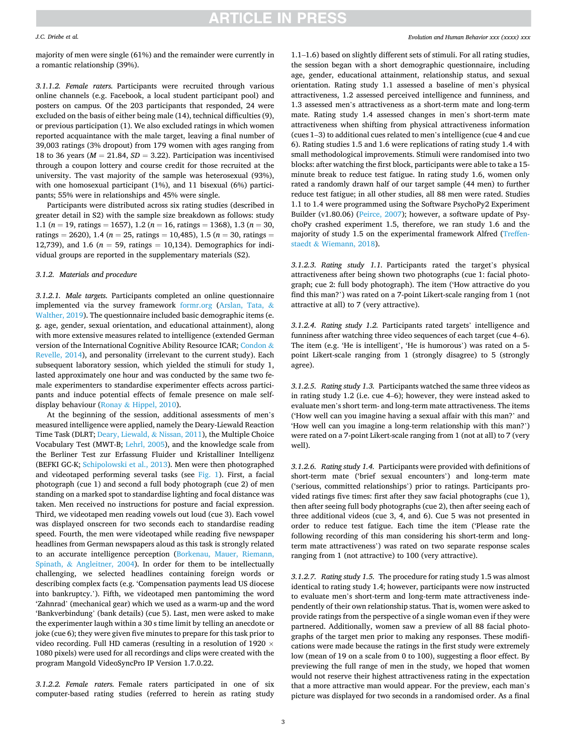#### *J.C. Driebe et al.*

majority of men were single (61%) and the remainder were currently in a romantic relationship (39%).

*3.1.1.2. Female raters.* Participants were recruited through various online channels (e.g. Facebook, a local student participant pool) and posters on campus. Of the 203 participants that responded, 24 were excluded on the basis of either being male (14), technical difficulties (9), or previous participation (1). We also excluded ratings in which women reported acquaintance with the male target, leaving a final number of 39,003 ratings (3% dropout) from 179 women with ages ranging from 18 to 36 years ( $M = 21.84$ ,  $SD = 3.22$ ). Participation was incentivised through a coupon lottery and course credit for those recruited at the university. The vast majority of the sample was heterosexual (93%), with one homosexual participant (1%), and 11 bisexual (6%) participants; 55% were in relationships and 45% were single.

Participants were distributed across six rating studies (described in greater detail in S2) with the sample size breakdown as follows: study 1.1 (*n* = 19, ratings = 1657), 1.2 (*n* = 16, ratings = 1368), 1.3 (*n* = 30, ratings = 2620), 1.4 ( $n = 25$ , ratings = 10,485), 1.5 ( $n = 30$ , ratings = 12,739), and 1.6 ( $n = 59$ , ratings = 10,134). Demographics for individual groups are reported in the supplementary materials (S2).

#### *3.1.2. Materials and procedure*

*3.1.2.1. Male targets.* Participants completed an online questionnaire implemented via the survey framework [formr.org](http://formr.org) ([Arslan, Tata,](#page-8-0) & [Walther, 2019\)](#page-8-0). The questionnaire included basic demographic items (e. g. age, gender, sexual orientation, and educational attainment), along with more extensive measures related to intelligence (extended German version of the International Cognitive Ability Resource ICAR; [Condon](#page-8-0) & [Revelle, 2014](#page-8-0)), and personality (irrelevant to the current study). Each subsequent laboratory session, which yielded the stimuli for study 1, lasted approximately one hour and was conducted by the same two female experimenters to standardise experimenter effects across participants and induce potential effects of female presence on male selfdisplay behaviour (Ronay & [Hippel, 2010\)](#page-9-0).

At the beginning of the session, additional assessments of men's measured intelligence were applied, namely the Deary-Liewald Reaction Time Task (DLRT; [Deary, Liewald,](#page-8-0) & Nissan, 2011), the Multiple Choice Vocabulary Test (MWT-B; [Lehrl, 2005](#page-8-0)), and the knowledge scale from the Berliner Test zur Erfassung Fluider und Kristalliner Intelligenz (BEFKI GC-K; [Schipolowski et al., 2013](#page-9-0)). Men were then photographed and videotaped performing several tasks (see [Fig. 1](#page-1-0)). First, a facial photograph (cue 1) and second a full body photograph (cue 2) of men standing on a marked spot to standardise lighting and focal distance was taken. Men received no instructions for posture and facial expression. Third, we videotaped men reading vowels out loud (cue 3). Each vowel was displayed onscreen for two seconds each to standardise reading speed. Fourth, the men were videotaped while reading five newspaper headlines from German newspapers aloud as this task is strongly related to an accurate intelligence perception ([Borkenau, Mauer, Riemann,](#page-8-0)  Spinath, & [Angleitner, 2004](#page-8-0)). In order for them to be intellectually challenging, we selected headlines containing foreign words or describing complex facts (e.g. 'Compensation payments lead US diocese into bankruptcy.'). Fifth, we videotaped men pantomiming the word 'Zahnrad' (mechanical gear) which we used as a warm-up and the word 'Bankverbindung' (bank details) (cue 5). Last, men were asked to make the experimenter laugh within a 30 s time limit by telling an anecdote or joke (cue 6); they were given five minutes to prepare for this task prior to video recording. Full HD cameras (resulting in a resolution of 1920  $\times$ 1080 pixels) were used for all recordings and clips were created with the program Mangold VideoSyncPro IP Version 1.7.0.22.

*3.1.2.2. Female raters.* Female raters participated in one of six computer-based rating studies (referred to herein as rating study

1.1–1.6) based on slightly different sets of stimuli. For all rating studies, the session began with a short demographic questionnaire, including age, gender, educational attainment, relationship status, and sexual orientation. Rating study 1.1 assessed a baseline of men's physical attractiveness, 1.2 assessed perceived intelligence and funniness, and 1.3 assessed men's attractiveness as a short-term mate and long-term mate. Rating study 1.4 assessed changes in men's short-term mate attractiveness when shifting from physical attractiveness information (cues 1–3) to additional cues related to men's intelligence (cue 4 and cue 6). Rating studies 1.5 and 1.6 were replications of rating study 1.4 with small methodological improvements. Stimuli were randomised into two blocks: after watching the first block, participants were able to take a 15 minute break to reduce test fatigue. In rating study 1.6, women only rated a randomly drawn half of our target sample (44 men) to further reduce test fatigue; in all other studies, all 88 men were rated. Studies 1.1 to 1.4 were programmed using the Software PsychoPy2 Experiment Builder (v1.80.06) [\(Peirce, 2007\)](#page-9-0); however, a software update of PsychoPy crashed experiment 1.5, therefore, we ran study 1.6 and the majority of study 1.5 on the experimental framework Alfred ([Treffen](#page-9-0)staedt & [Wiemann, 2018\)](#page-9-0).

*3.1.2.3. Rating study 1.1.* Participants rated the target's physical attractiveness after being shown two photographs (cue 1: facial photograph; cue 2: full body photograph). The item ('How attractive do you find this man?') was rated on a 7-point Likert-scale ranging from 1 (not attractive at all) to 7 (very attractive).

*3.1.2.4. Rating study 1.2.* Participants rated targets' intelligence and funniness after watching three video sequences of each target (cue 4–6). The item (e.g. 'He is intelligent', 'He is humorous') was rated on a 5 point Likert-scale ranging from 1 (strongly disagree) to 5 (strongly agree).

*3.1.2.5. Rating study 1.3.* Participants watched the same three videos as in rating study 1.2 (i.e. cue 4–6); however, they were instead asked to evaluate men's short term- and long-term mate attractiveness. The items ('How well can you imagine having a sexual affair with this man?' and 'How well can you imagine a long-term relationship with this man?') were rated on a 7-point Likert-scale ranging from 1 (not at all) to 7 (very well).

*3.1.2.6. Rating study 1.4.* Participants were provided with definitions of short-term mate ('brief sexual encounters') and long-term mate ('serious, committed relationships') prior to ratings. Participants provided ratings five times: first after they saw facial photographs (cue 1), then after seeing full body photographs (cue 2), then after seeing each of three additional videos (cue 3, 4, and 6). Cue 5 was not presented in order to reduce test fatigue. Each time the item ('Please rate the following recording of this man considering his short-term and longterm mate attractiveness') was rated on two separate response scales ranging from 1 (not attractive) to 100 (very attractive).

*3.1.2.7. Rating study 1.5.* The procedure for rating study 1.5 was almost identical to rating study 1.4; however, participants were now instructed to evaluate men's short-term and long-term mate attractiveness independently of their own relationship status. That is, women were asked to provide ratings from the perspective of a single woman even if they were partnered. Additionally, women saw a preview of all 88 facial photographs of the target men prior to making any responses. These modifications were made because the ratings in the first study were extremely low (mean of 19 on a scale from 0 to 100), suggesting a floor effect. By previewing the full range of men in the study, we hoped that women would not reserve their highest attractiveness rating in the expectation that a more attractive man would appear. For the preview, each man's picture was displayed for two seconds in a randomised order. As a final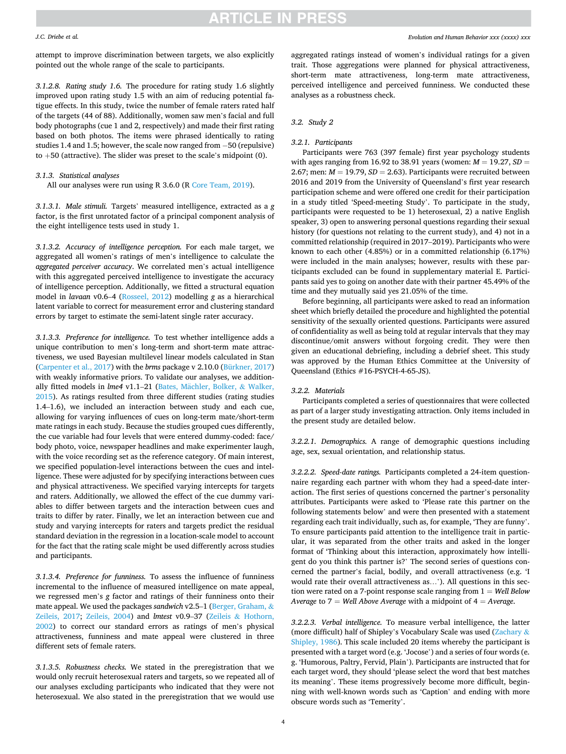#### *J.C. Driebe et al.*

attempt to improve discrimination between targets, we also explicitly pointed out the whole range of the scale to participants.

*3.1.2.8. Rating study 1.6.* The procedure for rating study 1.6 slightly improved upon rating study 1.5 with an aim of reducing potential fatigue effects. In this study, twice the number of female raters rated half of the targets (44 of 88). Additionally, women saw men's facial and full body photographs (cue 1 and 2, respectively) and made their first rating based on both photos. The items were phrased identically to rating studies 1.4 and 1.5; however, the scale now ranged from −50 (repulsive) to  $+50$  (attractive). The slider was preset to the scale's midpoint (0).

### *3.1.3. Statistical analyses*

All our analyses were run using R 3.6.0 (R [Core Team, 2019\)](#page-9-0).

*3.1.3.1. Male stimuli.* Targets' measured intelligence, extracted as a *g*  factor, is the first unrotated factor of a principal component analysis of the eight intelligence tests used in study 1.

*3.1.3.2. Accuracy of intelligence perception.* For each male target, we aggregated all women's ratings of men's intelligence to calculate the *aggregated perceiver accuracy*. We correlated men's actual intelligence with this aggregated perceived intelligence to investigate the accuracy of intelligence perception. Additionally, we fitted a structural equation model in *lavaan* v0.6–4 [\(Rosseel, 2012\)](#page-9-0) modelling *g* as a hierarchical latent variable to correct for measurement error and clustering standard errors by target to estimate the semi-latent single rater accuracy.

*3.1.3.3. Preference for intelligence.* To test whether intelligence adds a unique contribution to men's long-term and short-term mate attractiveness, we used Bayesian multilevel linear models calculated in Stan ([Carpenter et al., 2017\)](#page-8-0) with the *brms* package v 2.10.0 [\(Bürkner, 2017\)](#page-8-0) with weakly informative priors. To validate our analyses, we additionally fitted models in *lme4* v1.1–21 (Bates, Mächler, Bolker, & Walker, [2015\)](#page-8-0). As ratings resulted from three different studies (rating studies 1.4–1.6), we included an interaction between study and each cue, allowing for varying influences of cues on long-term mate/short-term mate ratings in each study. Because the studies grouped cues differently, the cue variable had four levels that were entered dummy-coded: face/ body photo, voice, newspaper headlines and make experimenter laugh, with the voice recording set as the reference category. Of main interest, we specified population-level interactions between the cues and intelligence. These were adjusted for by specifying interactions between cues and physical attractiveness. We specified varying intercepts for targets and raters. Additionally, we allowed the effect of the cue dummy variables to differ between targets and the interaction between cues and traits to differ by rater. Finally, we let an interaction between cue and study and varying intercepts for raters and targets predict the residual standard deviation in the regression in a location-scale model to account for the fact that the rating scale might be used differently across studies and participants.

*3.1.3.4. Preference for funniness.* To assess the influence of funniness incremental to the influence of measured intelligence on mate appeal, we regressed men's *g* factor and ratings of their funniness onto their mate appeal. We used the packages *sandwich* v2.5–1 [\(Berger, Graham,](#page-8-0) & [Zeileis, 2017](#page-8-0); [Zeileis, 2004](#page-9-0)) and *lmtest* v0.9–37 (Zeileis & [Hothorn,](#page-9-0)  [2002\)](#page-9-0) to correct our standard errors as ratings of men's physical attractiveness, funniness and mate appeal were clustered in three different sets of female raters.

*3.1.3.5. Robustness checks.* We stated in the preregistration that we would only recruit heterosexual raters and targets, so we repeated all of our analyses excluding participants who indicated that they were not heterosexual. We also stated in the preregistration that we would use aggregated ratings instead of women's individual ratings for a given trait. Those aggregations were planned for physical attractiveness, short-term mate attractiveness, long-term mate attractiveness, perceived intelligence and perceived funniness. We conducted these analyses as a robustness check.

# *3.2. Study 2*

#### *3.2.1. Participants*

Participants were 763 (397 female) first year psychology students with ages ranging from 16.92 to 38.91 years (women:  $M = 19.27$ ,  $SD =$ 2.67; men:  $M = 19.79$ ,  $SD = 2.63$ ). Participants were recruited between 2016 and 2019 from the University of Queensland's first year research participation scheme and were offered one credit for their participation in a study titled 'Speed-meeting Study'. To participate in the study, participants were requested to be 1) heterosexual, 2) a native English speaker, 3) open to answering personal questions regarding their sexual history (for questions not relating to the current study), and 4) not in a committed relationship (required in 2017–2019). Participants who were known to each other (4.85%) or in a committed relationship (6.17%) were included in the main analyses; however, results with these participants excluded can be found in supplementary material E. Participants said yes to going on another date with their partner 45.49% of the time and they mutually said yes 21.05% of the time.

Before beginning, all participants were asked to read an information sheet which briefly detailed the procedure and highlighted the potential sensitivity of the sexually oriented questions. Participants were assured of confidentiality as well as being told at regular intervals that they may discontinue/omit answers without forgoing credit. They were then given an educational debriefing, including a debrief sheet. This study was approved by the Human Ethics Committee at the University of Queensland (Ethics #16-PSYCH-4-65-JS).

#### *3.2.2. Materials*

Participants completed a series of questionnaires that were collected as part of a larger study investigating attraction. Only items included in the present study are detailed below.

*3.2.2.1. Demographics.* A range of demographic questions including age, sex, sexual orientation, and relationship status.

*3.2.2.2. Speed-date ratings.* Participants completed a 24-item questionnaire regarding each partner with whom they had a speed-date interaction. The first series of questions concerned the partner's personality attributes. Participants were asked to 'Please rate this partner on the following statements below' and were then presented with a statement regarding each trait individually, such as, for example, 'They are funny'. To ensure participants paid attention to the intelligence trait in particular, it was separated from the other traits and asked in the longer format of 'Thinking about this interaction, approximately how intelligent do you think this partner is?' The second series of questions concerned the partner's facial, bodily, and overall attractiveness (e.g. 'I would rate their overall attractiveness as…'). All questions in this section were rated on a 7-point response scale ranging from 1 = *Well Below Average* to 7 = *Well Above Average* with a midpoint of 4 = *Average*.

*3.2.2.3. Verbal intelligence.* To measure verbal intelligence, the latter (more difficult) half of Shipley's Vocabulary Scale was used ([Zachary](#page-9-0) & [Shipley, 1986](#page-9-0)). This scale included 20 items whereby the participant is presented with a target word (e.g. 'Jocose') and a series of four words (e. g. 'Humorous, Paltry, Fervid, Plain'). Participants are instructed that for each target word, they should 'please select the word that best matches its meaning'. These items progressively become more difficult, beginning with well-known words such as 'Caption' and ending with more obscure words such as 'Temerity'.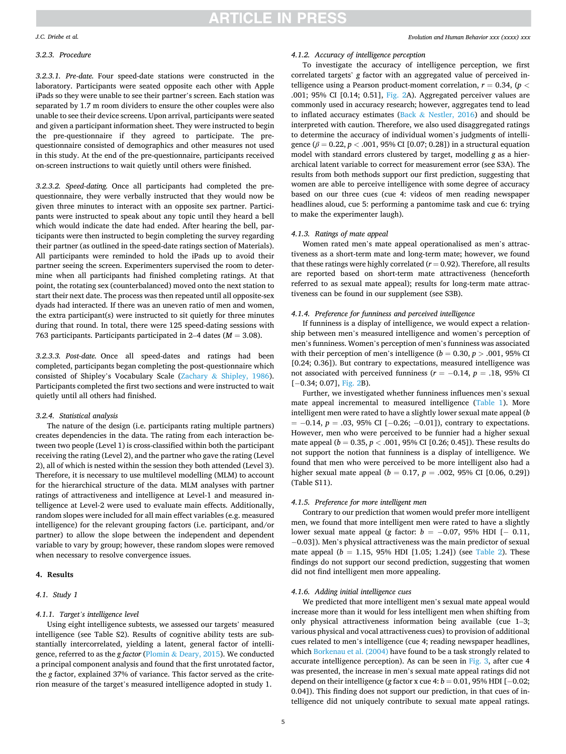#### *J.C. Driebe et al.*

# *3.2.3. Procedure*

*3.2.3.1. Pre-date.* Four speed-date stations were constructed in the laboratory. Participants were seated opposite each other with Apple iPads so they were unable to see their partner's screen. Each station was separated by 1.7 m room dividers to ensure the other couples were also unable to see their device screens. Upon arrival, participants were seated and given a participant information sheet. They were instructed to begin the pre-questionnaire if they agreed to participate. The prequestionnaire consisted of demographics and other measures not used in this study. At the end of the pre-questionnaire, participants received on-screen instructions to wait quietly until others were finished.

*3.2.3.2. Speed-dating.* Once all participants had completed the prequestionnaire, they were verbally instructed that they would now be given three minutes to interact with an opposite sex partner. Participants were instructed to speak about any topic until they heard a bell which would indicate the date had ended. After hearing the bell, participants were then instructed to begin completing the survey regarding their partner (as outlined in the speed-date ratings section of Materials). All participants were reminded to hold the iPads up to avoid their partner seeing the screen. Experimenters supervised the room to determine when all participants had finished completing ratings. At that point, the rotating sex (counterbalanced) moved onto the next station to start their next date. The process was then repeated until all opposite-sex dyads had interacted. If there was an uneven ratio of men and women, the extra participant(s) were instructed to sit quietly for three minutes during that round. In total, there were 125 speed-dating sessions with 763 participants. Participants participated in 2–4 dates (*M* = 3.08).

*3.2.3.3. Post-date.* Once all speed-dates and ratings had been completed, participants began completing the post-questionnaire which consisted of Shipley's Vocabulary Scale (Zachary & [Shipley, 1986](#page-9-0)). Participants completed the first two sections and were instructed to wait quietly until all others had finished.

### *3.2.4. Statistical analysis*

The nature of the design (i.e. participants rating multiple partners) creates dependencies in the data. The rating from each interaction between two people (Level 1) is cross-classified within both the participant receiving the rating (Level 2), and the partner who gave the rating (Level 2), all of which is nested within the session they both attended (Level 3). Therefore, it is necessary to use multilevel modelling (MLM) to account for the hierarchical structure of the data. MLM analyses with partner ratings of attractiveness and intelligence at Level-1 and measured intelligence at Level-2 were used to evaluate main effects. Additionally, random slopes were included for all main effect variables (e.g. measured intelligence) for the relevant grouping factors (i.e. participant, and/or partner) to allow the slope between the independent and dependent variable to vary by group; however, these random slopes were removed when necessary to resolve convergence issues.

#### **4. Results**

# *4.1. Study 1*

# *4.1.1. Target's intelligence level*

Using eight intelligence subtests, we assessed our targets' measured intelligence (see Table S2). Results of cognitive ability tests are substantially intercorrelated, yielding a latent, general factor of intelligence, referred to as the *g factor* (Plomin & [Deary, 2015\)](#page-9-0). We conducted a principal component analysis and found that the first unrotated factor, the *g* factor, explained 37% of variance. This factor served as the criterion measure of the target's measured intelligence adopted in study 1.

# *4.1.2. Accuracy of intelligence perception*

To investigate the accuracy of intelligence perception, we first correlated targets' *g* factor with an aggregated value of perceived intelligence using a Pearson product-moment correlation,  $r = 0.34$ , ( $p <$ .001; 95% CI [0.14; 0.51], [Fig. 2A](#page-5-0)). Aggregated perceiver values are commonly used in accuracy research; however, aggregates tend to lead to inflated accuracy estimates (Back  $&$  [Nestler, 2016\)](#page-8-0) and should be interpreted with caution. Therefore, we also used disaggregated ratings to determine the accuracy of individual women's judgments of intelligence (*β* = 0.22, *p <* .001, 95% CI [0.07; 0.28]) in a structural equation model with standard errors clustered by target, modelling *g* as a hierarchical latent variable to correct for measurement error (see S3A). The results from both methods support our first prediction, suggesting that women are able to perceive intelligence with some degree of accuracy based on our three cues (cue 4: videos of men reading newspaper headlines aloud, cue 5: performing a pantomime task and cue 6: trying to make the experimenter laugh).

### *4.1.3. Ratings of mate appeal*

Women rated men's mate appeal operationalised as men's attractiveness as a short-term mate and long-term mate; however, we found that these ratings were highly correlated  $(r = 0.92)$ . Therefore, all results are reported based on short-term mate attractiveness (henceforth referred to as sexual mate appeal); results for long-term mate attractiveness can be found in our supplement (see S3B).

# *4.1.4. Preference for funniness and perceived intelligence*

If funniness is a display of intelligence, we would expect a relationship between men's measured intelligence and women's perception of men's funniness. Women's perception of men's funniness was associated with their perception of men's intelligence ( $b = 0.30, p > .001, 95\%$  CI [0.24; 0.36]). But contrary to expectations, measured intelligence was not associated with perceived funniness (*r* = −0.14, *p* = .18, 95% CI [-0.34; 0.07], [Fig. 2](#page-5-0)B).

Further, we investigated whether funniness influences men's sexual mate appeal incremental to measured intelligence [\(Table 1\)](#page-5-0). More intelligent men were rated to have a slightly lower sexual mate appeal (*b*  = −0.14, *p* = .03, 95% CI [−0.26; −0.01]), contrary to expectations. However, men who were perceived to be funnier had a higher sexual mate appeal (*b* = 0.35, *p <* .001, 95% CI [0.26; 0.45]). These results do not support the notion that funniness is a display of intelligence. We found that men who were perceived to be more intelligent also had a higher sexual mate appeal ( $b = 0.17$ ,  $p = .002$ , 95% CI [0.06, 0.29]) (Table S11).

# *4.1.5. Preference for more intelligent men*

Contrary to our prediction that women would prefer more intelligent men, we found that more intelligent men were rated to have a slightly lower sexual mate appeal (*g* factor: *b* = −0.07, 95% HDI [− 0.11, −0.03]). Men's physical attractiveness was the main predictor of sexual mate appeal ( $b = 1.15$ , 95% HDI [1.05; 1.24]) (see [Table 2\)](#page-5-0). These findings do not support our second prediction, suggesting that women did not find intelligent men more appealing.

## *4.1.6. Adding initial intelligence cues*

We predicted that more intelligent men's sexual mate appeal would increase more than it would for less intelligent men when shifting from only physical attractiveness information being available (cue 1–3; various physical and vocal attractiveness cues) to provision of additional cues related to men's intelligence (cue 4; reading newspaper headlines, which [Borkenau et al. \(2004\)](#page-8-0) have found to be a task strongly related to accurate intelligence perception). As can be seen in [Fig. 3](#page-6-0), after cue 4 was presented, the increase in men's sexual mate appeal ratings did not depend on their intelligence (*g* factor x cue 4: *b* = 0.01, 95% HDI [−0.02; 0.04]). This finding does not support our prediction, in that cues of intelligence did not uniquely contribute to sexual mate appeal ratings.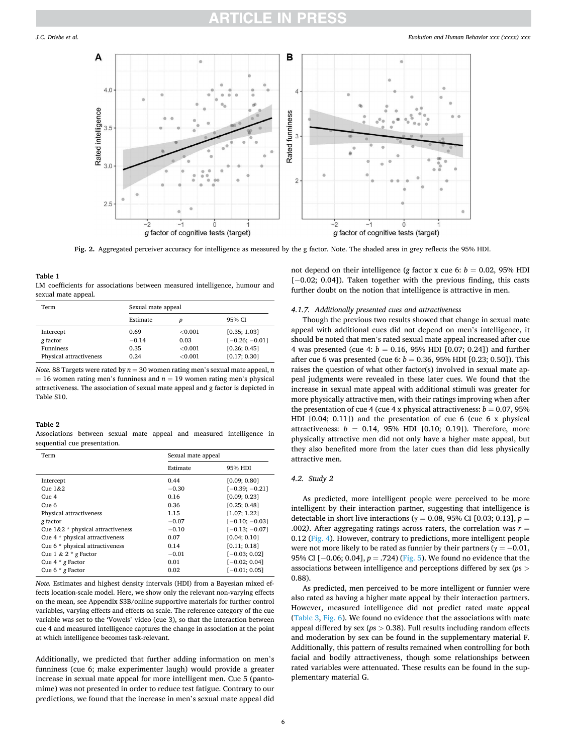<span id="page-5-0"></span>

**Fig. 2.** Aggregated perceiver accuracy for intelligence as measured by the g factor. Note. The shaded area in grey reflects the 95% HDI.

# **Table 1**

LM coefficients for associations between measured intelligence, humour and sexual mate appeal*.* 

| Term                    | Sexual mate appeal |            |                  |  |
|-------------------------|--------------------|------------|------------------|--|
|                         | Estimate           | D          | 95% CI           |  |
| Intercept               | 0.69               | ${<}0.001$ | [0.35; 1.03]     |  |
| g factor                | $-0.14$            | 0.03       | $[-0.26; -0.01]$ |  |
| <b>Funniness</b>        | 0.35               | ${<}0.001$ | [0.26; 0.45]     |  |
| Physical attractiveness | 0.24               | ${<}0.001$ | [0.17; 0.30]     |  |

*Note.* 88 Targets were rated by  $n = 30$  women rating men's sexual mate appeal, *n*  $= 16$  women rating men's funniness and  $n = 19$  women rating men's physical attractiveness. The association of sexual mate appeal and g factor is depicted in Table S10.

### **Table 2**

Associations between sexual mate appeal and measured intelligence in sequential cue presentation*.* 

| Term                                 | Sexual mate appeal |                  |  |
|--------------------------------------|--------------------|------------------|--|
|                                      | Estimate           | 95% HDI          |  |
| Intercept                            | 0.44               | [0.09; 0.80]     |  |
| Cue $1&42$                           | $-0.30$            | $[-0.39; -0.21]$ |  |
| C <sub>11</sub> e <sub>4</sub>       | 0.16               | [0.09; 0.23]     |  |
| $C$ ue 6                             | 0.36               | [0.25; 0.48]     |  |
| Physical attractiveness              | 1.15               | [1.07; 1.22]     |  |
| g factor                             | $-0.07$            | $[-0.10; -0.03]$ |  |
| Cue $1\&2$ * physical attractiveness | $-0.10$            | $[-0.13; -0.07]$ |  |
| Cue 4 * physical attractiveness      | 0.07               | [0.04; 0.10]     |  |
| Cue 6 * physical attractiveness      | 0.14               | [0.11; 0.18]     |  |
| Cue $1 \& 2 * g$ Factor              | $-0.01$            | $[-0.03; 0.02]$  |  |
| Cue $4 * g$ Factor                   | 0.01               | $[-0.02; 0.04]$  |  |
| Cue $6 * g$ Factor                   | 0.02               | $[-0.01; 0.05]$  |  |

*Note.* Estimates and highest density intervals (HDI) from a Bayesian mixed effects location-scale model. Here, we show only the relevant non-varying effects on the mean, see Appendix S3B/online supportive materials for further control variables, varying effects and effects on scale. The reference category of the cue variable was set to the 'Vowels' video (cue 3), so that the interaction between cue 4 and measured intelligence captures the change in association at the point at which intelligence becomes task-relevant.

Additionally, we predicted that further adding information on men's funniness (cue 6; make experimenter laugh) would provide a greater increase in sexual mate appeal for more intelligent men. Cue 5 (pantomime) was not presented in order to reduce test fatigue. Contrary to our predictions, we found that the increase in men's sexual mate appeal did

not depend on their intelligence (*g* factor x cue 6:  $b = 0.02$ , 95% HDI [-0.02; 0.04]). Taken together with the previous finding, this casts further doubt on the notion that intelligence is attractive in men.

### *4.1.7. Additionally presented cues and attractiveness*

Though the previous two results showed that change in sexual mate appeal with additional cues did not depend on men's intelligence, it should be noted that men's rated sexual mate appeal increased after cue 4 was presented (cue 4: *b* = 0.16, 95% HDI [0.07; 0.24]) and further after cue 6 was presented (cue 6:  $b = 0.36$ , 95% HDI [0.23; 0.50]). This raises the question of what other factor(s) involved in sexual mate appeal judgments were revealed in these later cues. We found that the increase in sexual mate appeal with additional stimuli was greater for more physically attractive men, with their ratings improving when after the presentation of cue 4 (cue 4 x physical attractiveness:  $b = 0.07, 95\%$ HDI [0.04; 0.11]) and the presentation of cue 6 (cue 6 x physical attractiveness:  $b = 0.14$ , 95% HDI [0.10; 0.19]). Therefore, more physically attractive men did not only have a higher mate appeal, but they also benefited more from the later cues than did less physically attractive men.

### *4.2. Study 2*

As predicted, more intelligent people were perceived to be more intelligent by their interaction partner, suggesting that intelligence is detectable in short live interactions ( $γ = 0.08$ , 95% CI [0.03; 0.13],  $p =$ .002*)*. After aggregating ratings across raters, the correlation was *r* = 0.12 [\(Fig. 4](#page-6-0)). However, contrary to predictions, more intelligent people were not more likely to be rated as funnier by their partners ( $\gamma = -0.01$ , 95% CI [-0.06; 0.04], *p* = .724) [\(Fig. 5\)](#page-7-0). We found no evidence that the associations between intelligence and perceptions differed by sex (*p*s *>* 0.88).

As predicted, men perceived to be more intelligent or funnier were also rated as having a higher mate appeal by their interaction partners. However, measured intelligence did not predict rated mate appeal ([Table 3,](#page-7-0) [Fig. 6](#page-6-0)). We found no evidence that the associations with mate appeal differed by sex (*p*s *>* 0.38). Full results including random effects and moderation by sex can be found in the supplementary material F. Additionally, this pattern of results remained when controlling for both facial and bodily attractiveness, though some relationships between rated variables were attenuated. These results can be found in the supplementary material G.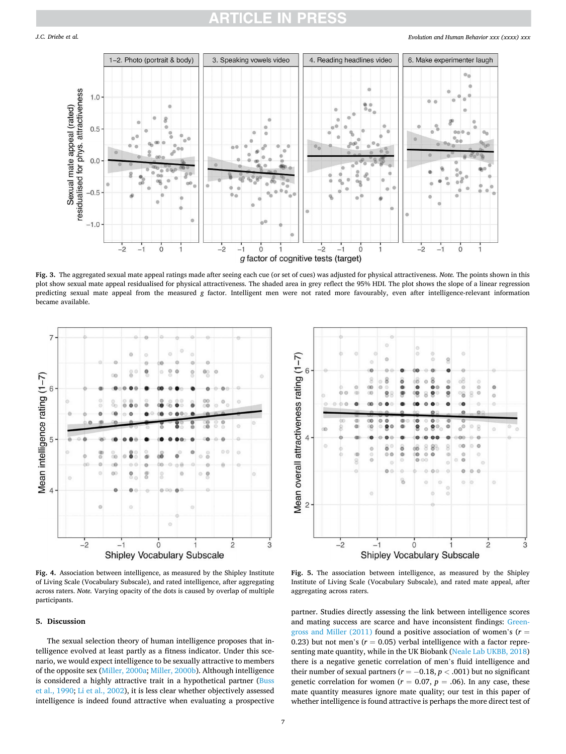# RTICI E IN

#### *Evolution and Human Behavior xxx (xxxx) xxx*

<span id="page-6-0"></span>

**Fig. 3.** The aggregated sexual mate appeal ratings made after seeing each cue (or set of cues) was adjusted for physical attractiveness. *Note.* The points shown in this plot show sexual mate appeal residualised for physical attractiveness. The shaded area in grey reflect the 95% HDI. The plot shows the slope of a linear regression predicting sexual mate appeal from the measured *g* factor. Intelligent men were not rated more favourably, even after intelligence-relevant information became available.



**Fig. 4.** Association between intelligence, as measured by the Shipley Institute of Living Scale (Vocabulary Subscale), and rated intelligence, after aggregating across raters. *Note.* Varying opacity of the dots is caused by overlap of multiple participants.

### **5. Discussion**

The sexual selection theory of human intelligence proposes that intelligence evolved at least partly as a fitness indicator. Under this scenario, we would expect intelligence to be sexually attractive to members of the opposite sex [\(Miller, 2000a](#page-9-0); [Miller, 2000b](#page-9-0)). Although intelligence is considered a highly attractive trait in a hypothetical partner ([Buss](#page-8-0)  [et al., 1990](#page-8-0); [Li et al., 2002\)](#page-9-0), it is less clear whether objectively assessed intelligence is indeed found attractive when evaluating a prospective



**Fig. 5.** The association between intelligence, as measured by the Shipley Institute of Living Scale (Vocabulary Subscale), and rated mate appeal, after aggregating across raters.

partner. Studies directly assessing the link between intelligence scores and mating success are scarce and have inconsistent findings: [Green](#page-8-0)[gross and Miller \(2011\)](#page-8-0) found a positive association of women's (*r* = 0.23) but not men's  $(r = 0.05)$  verbal intelligence with a factor representing mate quantity, while in the UK Biobank ([Neale Lab UKBB, 2018\)](#page-9-0) there is a negative genetic correlation of men's fluid intelligence and their number of sexual partners ( $r = -0.18$ ,  $p < .001$ ) but no significant genetic correlation for women ( $r = 0.07$ ,  $p = .06$ ). In any case, these mate quantity measures ignore mate quality; our test in this paper of whether intelligence is found attractive is perhaps the more direct test of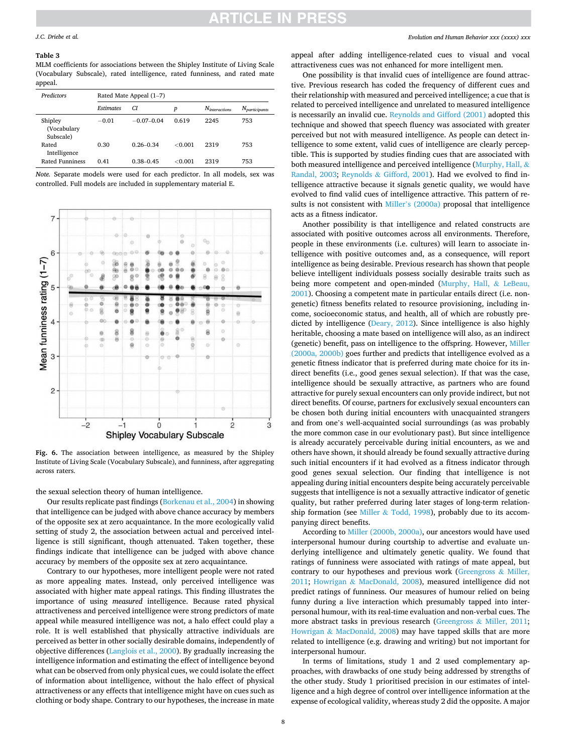# **:TICLE IN PRES**

#### <span id="page-7-0"></span>*J.C. Driebe et al.*

#### **Table 3**

MLM coefficients for associations between the Shipley Institute of Living Scale (Vocabulary Subscale), rated intelligence, rated funniness, and rated mate appeal.

| Predictors                          | Rated Mate Appeal (1–7) |               |         |                    |                    |  |  |
|-------------------------------------|-------------------------|---------------|---------|--------------------|--------------------|--|--|
|                                     | <b>Estimates</b>        | CI.           | p       | $N_{interactions}$ | $N_{participants}$ |  |  |
| Shipley<br>(Vocabulary<br>Subscale) | $-0.01$                 | $-0.07-0.04$  | 0.619   | 2245               | 753                |  |  |
| Rated<br>Intelligence               | 0.30                    | $0.26 - 0.34$ | < 0.001 | 2319               | 753                |  |  |
| <b>Rated Funniness</b>              | 0.41                    | $0.38 - 0.45$ | < 0.001 | 2319               | 753                |  |  |

*Note.* Separate models were used for each predictor. In all models, sex was controlled. Full models are included in supplementary material E.



**Fig. 6.** The association between intelligence, as measured by the Shipley Institute of Living Scale (Vocabulary Subscale), and funniness, after aggregating across raters.

the sexual selection theory of human intelligence.

Our results replicate past findings [\(Borkenau et al., 2004\)](#page-8-0) in showing that intelligence can be judged with above chance accuracy by members of the opposite sex at zero acquaintance. In the more ecologically valid setting of study 2, the association between actual and perceived intelligence is still significant, though attenuated. Taken together, these findings indicate that intelligence can be judged with above chance accuracy by members of the opposite sex at zero acquaintance.

Contrary to our hypotheses, more intelligent people were not rated as more appealing mates. Instead, only perceived intelligence was associated with higher mate appeal ratings. This finding illustrates the importance of using *measured* intelligence. Because rated physical attractiveness and perceived intelligence were strong predictors of mate appeal while measured intelligence was not, a halo effect could play a role. It is well established that physically attractive individuals are perceived as better in other socially desirable domains, independently of objective differences ([Langlois et al., 2000\)](#page-8-0). By gradually increasing the intelligence information and estimating the effect of intelligence beyond what can be observed from only physical cues, we could isolate the effect of information about intelligence, without the halo effect of physical attractiveness or any effects that intelligence might have on cues such as clothing or body shape. Contrary to our hypotheses, the increase in mate

appeal after adding intelligence-related cues to visual and vocal attractiveness cues was not enhanced for more intelligent men.

One possibility is that invalid cues of intelligence are found attractive. Previous research has coded the frequency of different cues and their relationship with measured and perceived intelligence; a cue that is related to perceived intelligence and unrelated to measured intelligence is necessarily an invalid cue. [Reynolds and Gifford \(2001\)](#page-9-0) adopted this technique and showed that speech fluency was associated with greater perceived but not with measured intelligence. As people can detect intelligence to some extent, valid cues of intelligence are clearly perceptible. This is supported by studies finding cues that are associated with both measured intelligence and perceived intelligence [\(Murphy, Hall,](#page-9-0) & [Randal, 2003](#page-9-0); Reynolds & [Gifford, 2001](#page-9-0)). Had we evolved to find intelligence attractive because it signals genetic quality, we would have evolved to find valid cues of intelligence attractive. This pattern of results is not consistent with Miller'[s \(2000a\)](#page-9-0) proposal that intelligence acts as a fitness indicator.

Another possibility is that intelligence and related constructs are associated with positive outcomes across all environments. Therefore, people in these environments (i.e. cultures) will learn to associate intelligence with positive outcomes and, as a consequence, will report intelligence as being desirable. Previous research has shown that people believe intelligent individuals possess socially desirable traits such as being more competent and open-minded [\(Murphy, Hall,](#page-9-0) & LeBeau, [2001\)](#page-9-0). Choosing a competent mate in particular entails direct (i.e. nongenetic) fitness benefits related to resource provisioning, including income, socioeconomic status, and health, all of which are robustly predicted by intelligence ([Deary, 2012\)](#page-8-0). Since intelligence is also highly heritable, choosing a mate based on intelligence will also, as an indirect (genetic) benefit, pass on intelligence to the offspring. However, [Miller](#page-9-0)  [\(2000a, 2000b\)](#page-9-0) goes further and predicts that intelligence evolved as a genetic fitness indicator that is preferred during mate choice for its indirect benefits (i.e., good genes sexual selection). If that was the case, intelligence should be sexually attractive, as partners who are found attractive for purely sexual encounters can only provide indirect, but not direct benefits. Of course, partners for exclusively sexual encounters can be chosen both during initial encounters with unacquainted strangers and from one's well-acquainted social surroundings (as was probably the more common case in our evolutionary past). But since intelligence is already accurately perceivable during initial encounters, as we and others have shown, it should already be found sexually attractive during such initial encounters if it had evolved as a fitness indicator through good genes sexual selection. Our finding that intelligence is not appealing during initial encounters despite being accurately perceivable suggests that intelligence is not a sexually attractive indicator of genetic quality, but rather preferred during later stages of long-term relationship formation (see Miller & [Todd, 1998](#page-9-0)), probably due to its accompanying direct benefits.

According to [Miller \(2000b, 2000a\)](#page-9-0), our ancestors would have used interpersonal humour during courtship to advertise and evaluate underlying intelligence and ultimately genetic quality. We found that ratings of funniness were associated with ratings of mate appeal, but contrary to our hypotheses and previous work [\(Greengross](#page-8-0) & Miller, [2011;](#page-8-0) Howrigan & [MacDonald, 2008](#page-8-0)), measured intelligence did not predict ratings of funniness. Our measures of humour relied on being funny during a live interaction which presumably tapped into interpersonal humour, with its real-time evaluation and non-verbal cues. The more abstract tasks in previous research (Greengross & [Miller, 2011](#page-8-0); Howrigan & [MacDonald, 2008\)](#page-8-0) may have tapped skills that are more related to intelligence (e.g. drawing and writing) but not important for interpersonal humour.

In terms of limitations, study 1 and 2 used complementary approaches, with drawbacks of one study being addressed by strengths of the other study. Study 1 prioritised precision in our estimates of intelligence and a high degree of control over intelligence information at the expense of ecological validity, whereas study 2 did the opposite. A major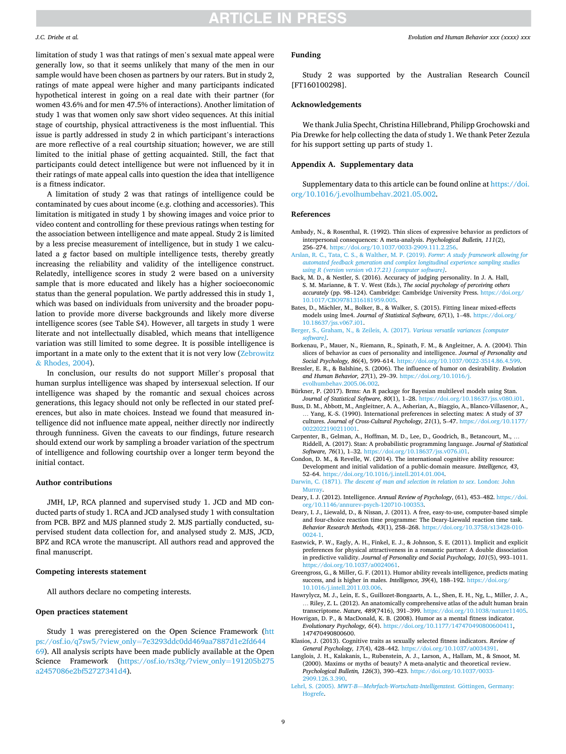#### <span id="page-8-0"></span>*J.C. Driebe et al.*

limitation of study 1 was that ratings of men's sexual mate appeal were generally low, so that it seems unlikely that many of the men in our sample would have been chosen as partners by our raters. But in study 2, ratings of mate appeal were higher and many participants indicated hypothetical interest in going on a real date with their partner (for women 43.6% and for men 47.5% of interactions). Another limitation of study 1 was that women only saw short video sequences. At this initial stage of courtship, physical attractiveness is the most influential. This issue is partly addressed in study 2 in which participant's interactions are more reflective of a real courtship situation; however, we are still limited to the initial phase of getting acquainted. Still, the fact that participants could detect intelligence but were not influenced by it in their ratings of mate appeal calls into question the idea that intelligence is a fitness indicator.

A limitation of study 2 was that ratings of intelligence could be contaminated by cues about income (e.g. clothing and accessories). This limitation is mitigated in study 1 by showing images and voice prior to video content and controlling for these previous ratings when testing for the association between intelligence and mate appeal. Study 2 is limited by a less precise measurement of intelligence, but in study 1 we calculated a *g* factor based on multiple intelligence tests, thereby greatly increasing the reliability and validity of the intelligence construct. Relatedly, intelligence scores in study 2 were based on a university sample that is more educated and likely has a higher socioeconomic status than the general population. We partly addressed this in study 1, which was based on individuals from university and the broader population to provide more diverse backgrounds and likely more diverse intelligence scores (see Table S4). However, all targets in study 1 were literate and not intellectually disabled, which means that intelligence variation was still limited to some degree. It is possible intelligence is important in a mate only to the extent that it is not very low [\(Zebrowitz](#page-9-0)  & [Rhodes, 2004](#page-9-0)).

In conclusion, our results do not support Miller's proposal that human surplus intelligence was shaped by intersexual selection. If our intelligence was shaped by the romantic and sexual choices across generations, this legacy should not only be reflected in our stated preferences, but also in mate choices. Instead we found that measured intelligence did not influence mate appeal, neither directly nor indirectly through funniness. Given the caveats to our findings, future research should extend our work by sampling a broader variation of the spectrum of intelligence and following courtship over a longer term beyond the initial contact.

## **Author contributions**

JMH, LP, RCA planned and supervised study 1. JCD and MD conducted parts of study 1. RCA and JCD analysed study 1 with consultation from PCB. BPZ and MJS planned study 2. MJS partially conducted, supervised student data collection for, and analysed study 2. MJS, JCD, BPZ and RCA wrote the manuscript. All authors read and approved the final manuscript.

#### **Competing interests statement**

All authors declare no competing interests.

#### **Open practices statement**

Study 1 was preregistered on the Open Science Framework ([htt](https://osf.io/q7sw5/?view_only=7e3293ddc0dd469aa7887d1e2fd64469)  ps://osf.io/q7sw5/?view\_only=[7e3293ddc0dd469aa7887d1e2fd644](https://osf.io/q7sw5/?view_only=7e3293ddc0dd469aa7887d1e2fd64469)  [69\)](https://osf.io/q7sw5/?view_only=7e3293ddc0dd469aa7887d1e2fd64469). All analysis scripts have been made publicly available at the Open Science Framework ([https://osf.io/rs3tg/?view\\_only](https://osf.io/rs3tg/?view_only=191205b275a2457086e2bf52727341d4)=191205b275 [a2457086e2bf52727341d4](https://osf.io/rs3tg/?view_only=191205b275a2457086e2bf52727341d4)).

#### *Evolution and Human Behavior xxx (xxxx) xxx*

### **Funding**

Study 2 was supported by the Australian Research Council [FT160100298].

# **Acknowledgements**

We thank Julia Specht, Christina Hillebrand, Philipp Grochowski and Pia Drewke for help collecting the data of study 1. We thank Peter Zezula for his support setting up parts of study 1.

#### **Appendix A. Supplementary data**

Supplementary data to this article can be found online at [https://doi.](https://doi.org/10.1016/j.evolhumbehav.2021.05.002)  [org/10.1016/j.evolhumbehav.2021.05.002.](https://doi.org/10.1016/j.evolhumbehav.2021.05.002)

#### **References**

- Ambady, N., & Rosenthal, R. (1992). Thin slices of expressive behavior as predictors of interpersonal consequences: A meta-analysis. *Psychological Bulletin, 111*(2), 256–274. <https://doi.org/10.1037/0033-2909.111.2.256>.
- [Arslan, R. C., Tata, C. S., & Walther, M. P. \(2019\).](http://refhub.elsevier.com/S1090-5138(21)00045-3/rf0010) *Formr: A study framework allowing for [automated feedback generation and complex longitudinal experience sampling studies](http://refhub.elsevier.com/S1090-5138(21)00045-3/rf0010) [using R \(version version v0.17.21\) \[computer software\]](http://refhub.elsevier.com/S1090-5138(21)00045-3/rf0010)*.
- Back, M. D., & Nestler, S. (2016). Accuracy of judging personality. In J. A. Hall, S. M. Marianne, & T. V. West (Eds.), *The social psychology of perceiving others accurately* (pp. 98–124). Cambridge: Cambridge University Press. [https://doi.org/](https://doi.org/10.1017/CBO9781316181959.005) [10.1017/CBO9781316181959.005.](https://doi.org/10.1017/CBO9781316181959.005)
- Bates, D., Mächler, M., Bolker, B., & Walker, S. (2015). Fitting linear mixed-effects models using lme4. *Journal of Statistical Software, 67*(1), 1–48. [https://doi.org/](https://doi.org/10.18637/jss.v067.i01)  [10.18637/jss.v067.i01](https://doi.org/10.18637/jss.v067.i01).
- [Berger, S., Graham, N., & Zeileis, A. \(2017\).](http://refhub.elsevier.com/S1090-5138(21)00045-3/rf0025) *Various versatile variances [computer [software\]](http://refhub.elsevier.com/S1090-5138(21)00045-3/rf0025)*.
- Borkenau, P., Mauer, N., Riemann, R., Spinath, F. M., & Angleitner, A. A. (2004). Thin slices of behavior as cues of personality and intelligence. *Journal of Personality and Social Psychology, 86*(4), 599–614. <https://doi.org/10.1037/0022-3514.86.4.599>.
- Bressler, E. R., & Balshine, S. (2006). The influence of humor on desirability. *Evolution and Human Behavior, 27*(1), 29–39. [https://doi.org/10.1016/j.](https://doi.org/10.1016/j.evolhumbehav.2005.06.002) [evolhumbehav.2005.06.002.](https://doi.org/10.1016/j.evolhumbehav.2005.06.002)
- Bürkner, P. (2017). Brms: An R package for Bayesian multilevel models using Stan. *Journal of Statistical Software, 80*(1), 1–28. <https://doi.org/10.18637/jss.v080.i01>.
- Buss, D. M., Abbott, M., Angleitner, A. A., Asherian, A., Biaggio, A., Blanco-Villasenor, A., … Yang, K.-S. (1990). International preferences in selecting mates: A study of 37 cultures. *Journal of Cross-Cultural Psychology, 21*(1), 5–47. [https://doi.org/10.1177/](https://doi.org/10.1177/0022022190211001)  [0022022190211001.](https://doi.org/10.1177/0022022190211001)
- Carpenter, B., Gelman, A., Hoffman, M. D., Lee, D., Goodrich, B., Betancourt, M., . Riddell, A. (2017). Stan: A probabilistic programming language. *Journal of Statistical Software, 76*(1), 1–32. <https://doi.org/10.18637/jss.v076.i01>.
- Condon, D. M., & Revelle, W. (2014). The international cognitive ability resource: Development and initial validation of a public-domain measure. *Intelligence, 43*, 52–64. [https://doi.org/10.1016/j.intell.2014.01.004.](https://doi.org/10.1016/j.intell.2014.01.004)
- Darwin, C. (1871). *[The descent of man and selection in relation to sex](http://refhub.elsevier.com/S1090-5138(21)00045-3/rf0060)*. London: John Murra
- Deary, I. J. (2012). Intelligence. *Annual Review of Psychology*, (61), 453–482. [https://doi.](https://doi.org/10.1146/annurev-psych-120710-100353)  [org/10.1146/annurev-psych-120710-100353.](https://doi.org/10.1146/annurev-psych-120710-100353)
- Deary, I. J., Liewald, D., & Nissan, J. (2011). A free, easy-to-use, computer-based simple and four-choice reaction time programme: The Deary-Liewald reaction time task. *Behavior Research Methods, 43*(1), 258–268. [https://doi.org/10.3758/s13428-010-](https://doi.org/10.3758/s13428-010-0024-1)  [0024-1.](https://doi.org/10.3758/s13428-010-0024-1)
- Eastwick, P. W., Eagly, A. H., Finkel, E. J., & Johnson, S. E. (2011). Implicit and explicit preferences for physical attractiveness in a romantic partner: A double dissociation in predictive validity. *Journal of Personality and Social Psychology, 101*(5), 993–1011. [https://doi.org/10.1037/a0024061.](https://doi.org/10.1037/a0024061)
- Greengross, G., & Miller, G. F. (2011). Humor ability reveals intelligence, predicts mating success, and is higher in males. *Intelligence, 39*(4), 188–192. [https://doi.org/](https://doi.org/10.1016/j.intell.2011.03.006)  [10.1016/j.intell.2011.03.006.](https://doi.org/10.1016/j.intell.2011.03.006)
- Hawrylycz, M. J., Lein, E. S., Guillozet-Bongaarts, A. L., Shen, E. H., Ng, L., Miller, J. A., … Riley, Z. L. (2012). An anatomically comprehensive atlas of the adult human brain transcriptome. *Nature, 489*(7416), 391–399. [https://doi.org/10.1038/nature11405.](https://doi.org/10.1038/nature11405)
- Howrigan, D. P., & MacDonald, K. B. (2008). Humor as a mental fitness indicator. *Evolutionary Psychology, 6*(4). <https://doi.org/10.1177/147470490800600411>, 147470490800600.
- Klasios, J. (2013). Cognitive traits as sexually selected fitness indicators. *Review of General Psychology, 17*(4), 428–442. [https://doi.org/10.1037/a0034391.](https://doi.org/10.1037/a0034391)
- Langlois, J. H., Kalakanis, L., Rubenstein, A. J., Larson, A., Hallam, M., & Smoot, M. (2000). Maxims or myths of beauty? A meta-analytic and theoretical review. *Psychological Bulletin, 126*(3), 390–423. [https://doi.org/10.1037/0033-](https://doi.org/10.1037/0033-2909.126.3.390) [2909.126.3.390](https://doi.org/10.1037/0033-2909.126.3.390).
- Lehrl, S. (2005). *MWT-B--[Mehrfach-Wortschatz-Intelligenztest](http://refhub.elsevier.com/S1090-5138(21)00045-3/rf0105)*. Göttingen, Germany: [Hogrefe.](http://refhub.elsevier.com/S1090-5138(21)00045-3/rf0105)